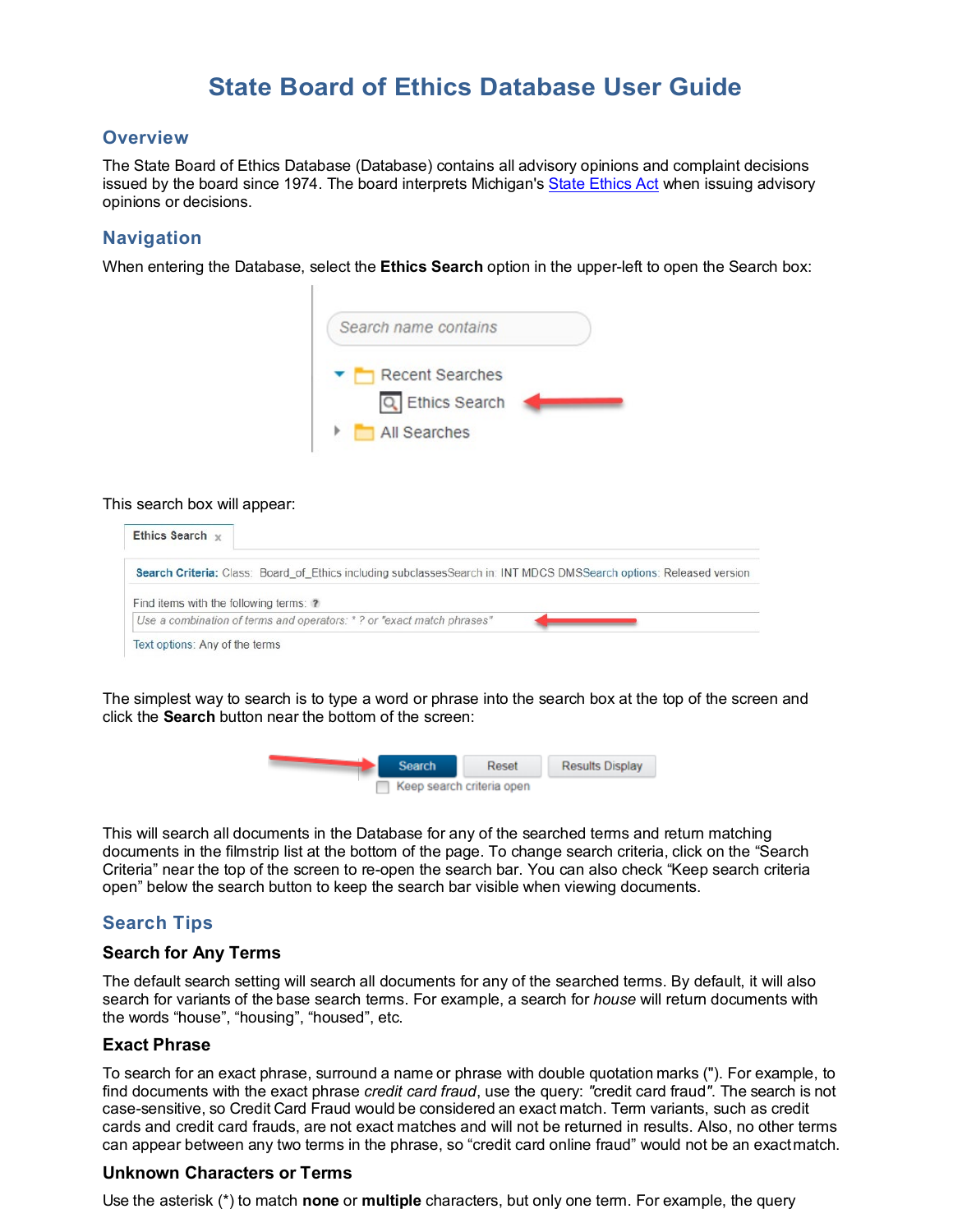### **Overview**

The State Board of Ethics Database (Database) contains all advisory opinions and complaint decisions issued by the board since 1974. The board interprets Michigan's [State Ethics Act](http://www.michigan.gov/mdcs/0%2C1607%2C7-147-6881_13592-26139--%2C00.html) when issuing advisory opinions or decisions.

## **Navigation**

When entering the Database, select the **Ethics Search** option in the upper-left to open the Search box:



#### This search box will appear:



The simplest way to search is to type a word or phrase into the search box at the top of the screen and click the **Search** button near the bottom of the screen:



This will search all documents in the Database for any of the searched terms and return matching documents in the filmstrip list at the bottom of the page. To change search criteria, click on the "Search Criteria" near the top of the screen to re-open the search bar. You can also check "Keep search criteria open" below the search button to keep the search bar visible when viewing documents.

## **Search Tips**

#### **Search for Any Terms**

The default search setting will search all documents for any of the searched terms. By default, it will also search for variants of the base search terms. For example, a search for *house* will return documents with the words "house", "housing", "housed", etc.

#### **Exact Phrase**

To search for an exact phrase, surround a name or phrase with double quotation marks ("). For example, to find documents with the exact phrase *credit card fraud*, use the query: *"*credit card fraud*"*. The search is not case-sensitive, so Credit Card Fraud would be considered an exact match. Term variants, such as credit cards and credit card frauds, are not exact matches and will not be returned in results. Also, no other terms can appear between any two terms in the phrase, so "credit card online fraud" would not be an exactmatch.

#### **Unknown Characters or Terms**

Use the asterisk (\*) to match **none** or **multiple** characters, but only one term. For example, the query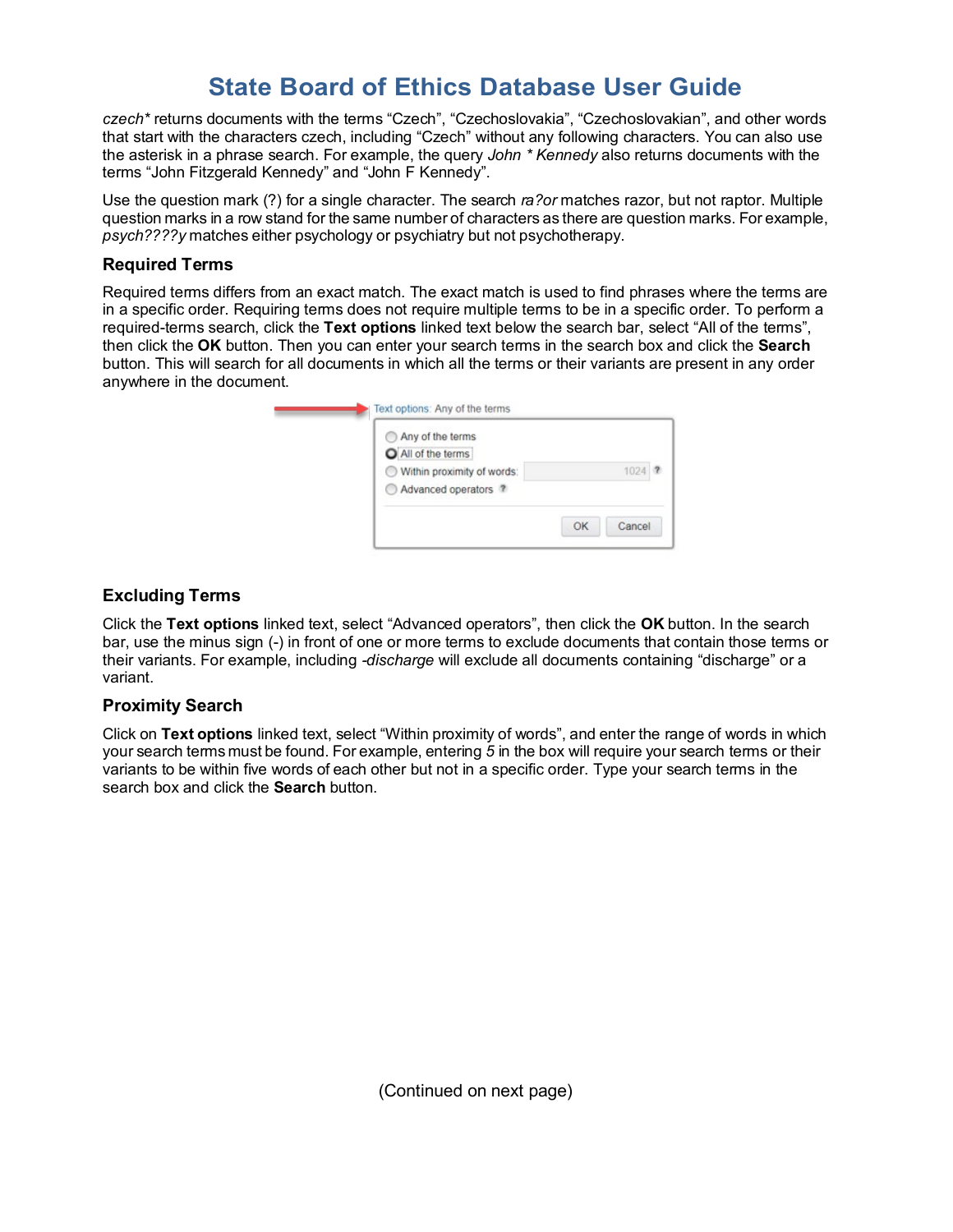*czech\** returns documents with the terms "Czech", "Czechoslovakia", "Czechoslovakian", and other words that start with the characters czech, including "Czech" without any following characters. You can also use the asterisk in a phrase search. For example, the query *John \* Kennedy* also returns documents with the terms "John Fitzgerald Kennedy" and "John F Kennedy".

Use the question mark (?) for a single character. The search *ra?or* matches razor, but not raptor. Multiple question marks in a row stand for the same number of characters as there are question marks. For example, *psych????y* matches either psychology or psychiatry but not psychotherapy.

### **Required Terms**

Required terms differs from an exact match. The exact match is used to find phrases where the terms are in a specific order. Requiring terms does not require multiple terms to be in a specific order. To perform a required-terms search, click the **Text options** linked text below the search bar, select "All of the terms", then click the **OK** button. Then you can enter your search terms in the search box and click the **Search** button. This will search for all documents in which all the terms or their variants are present in any order anywhere in the document.

| All of the terms |                                                    |        |
|------------------|----------------------------------------------------|--------|
|                  |                                                    |        |
|                  |                                                    | 1024 ? |
|                  |                                                    |        |
|                  | Within proximity of words:<br>Advanced operators ? |        |

## **Excluding Terms**

Click the **Text options** linked text, select "Advanced operators", then click the **OK** button. In the search bar, use the minus sign (-) in front of one or more terms to exclude documents that contain those terms or their variants. For example, including *-discharge* will exclude all documents containing "discharge" or a variant.

## **Proximity Search**

Click on **Text options** linked text, select "Within proximity of words", and enter the range of words in which your search terms must be found. For example, entering *5* in the box will require your search terms or their variants to be within five words of each other but not in a specific order. Type your search terms in the search box and click the **Search** button.

(Continued on next page)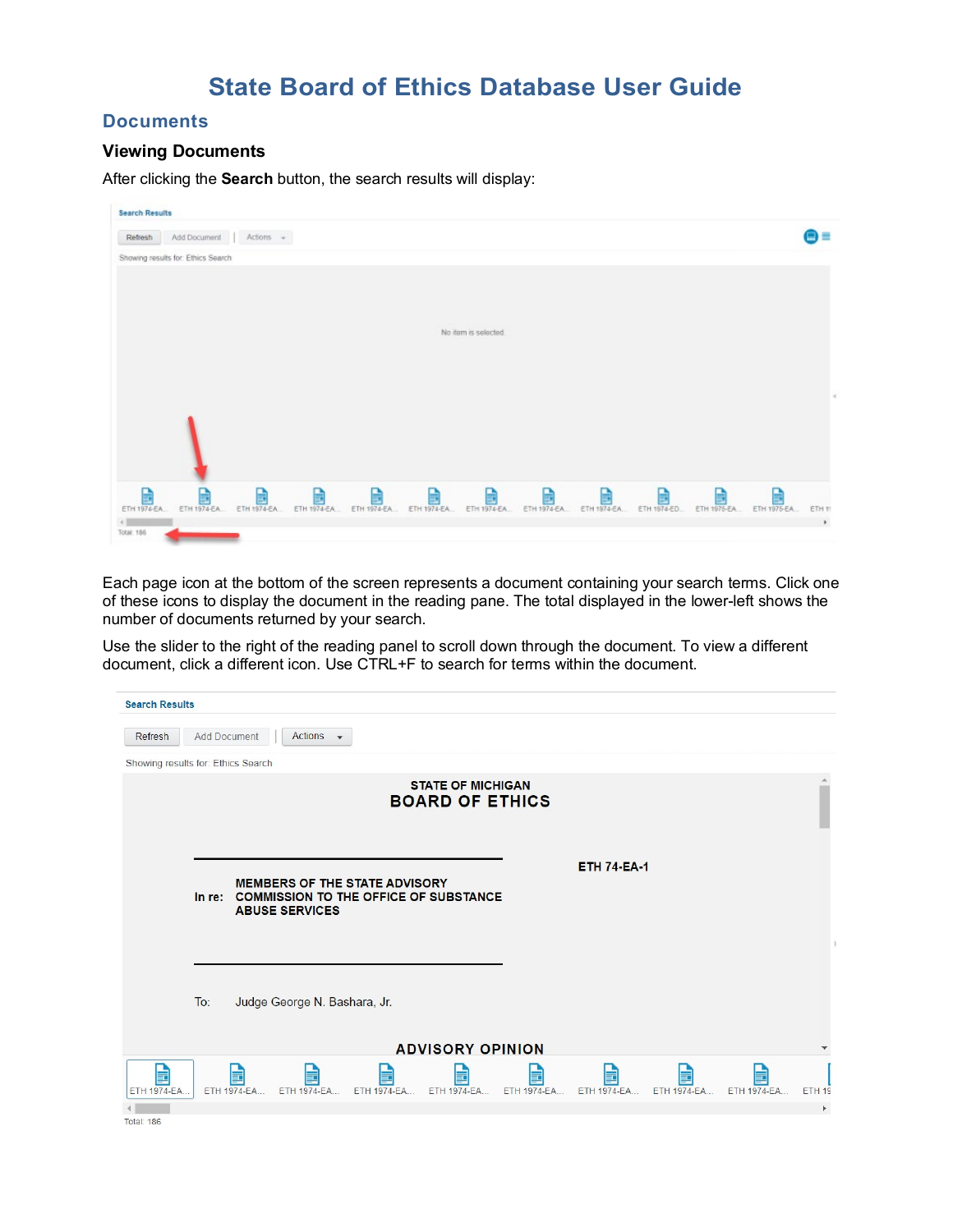## **Documents**

#### **Viewing Documents**

After clicking the **Search** button, the search results will display:

| <b>Search Results</b>              |                              |   |   |   |                                                              |                  |                  |                  |                  |                  |        |
|------------------------------------|------------------------------|---|---|---|--------------------------------------------------------------|------------------|------------------|------------------|------------------|------------------|--------|
| Refresh                            | Add Document   Actions +     |   |   |   |                                                              |                  |                  |                  |                  |                  | 黒目     |
| Showing results for: Ethics Search |                              |   |   |   |                                                              |                  |                  |                  |                  |                  |        |
|                                    |                              |   |   |   |                                                              |                  |                  |                  |                  |                  |        |
|                                    |                              |   |   |   |                                                              |                  |                  |                  |                  |                  |        |
|                                    |                              |   |   |   |                                                              |                  |                  |                  |                  |                  |        |
|                                    |                              |   |   |   | No item is selected                                          |                  |                  |                  |                  |                  |        |
|                                    |                              |   |   |   |                                                              |                  |                  |                  |                  |                  |        |
|                                    |                              |   |   |   |                                                              |                  |                  |                  |                  |                  |        |
|                                    |                              |   |   |   |                                                              |                  |                  |                  |                  |                  |        |
|                                    |                              |   |   |   |                                                              |                  |                  |                  |                  |                  |        |
|                                    |                              |   |   |   |                                                              |                  |                  |                  |                  |                  |        |
|                                    |                              |   |   |   |                                                              |                  |                  |                  |                  |                  |        |
|                                    |                              |   |   |   |                                                              |                  |                  |                  |                  |                  |        |
| B<br>ETH 1974-EA                   | B<br>ETH 1974-EA ETH 1974-EA | B | B | B | B<br>ETH 1974-EA., ETH 1974-EA., ETH 1974-EA., ETH 1974-EA., | B<br>ETH 1974-EA | B<br>ETH 1974-EA | R<br>ETH 1974-ED | B<br>ETH 1975-EA | B<br>ETH 1975-EA | ETH 11 |
|                                    |                              |   |   |   |                                                              |                  |                  |                  |                  |                  | $\,$   |

Each page icon at the bottom of the screen represents a document containing your search terms. Click one of these icons to display the document in the reading pane. The total displayed in the lower-left shows the number of documents returned by your search.

Use the slider to the right of the reading panel to scroll down through the document. To view a different document, click a different icon. Use CTRL+F to search for terms within the document.

| <b>Search Results</b>              |                     |                   |                              |                                                                                      |                                                    |                  |                    |                   |                   |                       |
|------------------------------------|---------------------|-------------------|------------------------------|--------------------------------------------------------------------------------------|----------------------------------------------------|------------------|--------------------|-------------------|-------------------|-----------------------|
| Refresh                            | <b>Add Document</b> |                   | Actions $\sim$               |                                                                                      |                                                    |                  |                    |                   |                   |                       |
| Showing results for: Ethics Search |                     |                   |                              |                                                                                      |                                                    |                  |                    |                   |                   |                       |
|                                    |                     |                   |                              |                                                                                      | <b>STATE OF MICHIGAN</b><br><b>BOARD OF ETHICS</b> |                  |                    |                   |                   |                       |
|                                    |                     |                   | <b>ABUSE SERVICES</b>        | <b>MEMBERS OF THE STATE ADVISORY</b><br>In re: COMMISSION TO THE OFFICE OF SUBSTANCE |                                                    |                  | <b>ETH 74-EA-1</b> |                   |                   |                       |
|                                    | To:                 |                   | Judge George N. Bashara, Jr. |                                                                                      | <b>ADVISORY OPINION</b>                            |                  |                    |                   |                   |                       |
|                                    |                     |                   |                              |                                                                                      |                                                    |                  |                    |                   |                   |                       |
| E<br>ETH 1974-EA                   |                     | E.<br>ETH 1974-EA | E<br>ETH 1974-EA             | g.<br>ETH 1974-EA                                                                    | ⋥<br>ETH 1974-EA                                   | 量<br>ETH 1974-EA | E<br>ETH 1974-EA   | E.<br>ETH 1974-EA | F.<br>ETH 1974-EA | ETH <sub>19</sub>     |
| <b>Total: 186</b>                  |                     |                   |                              |                                                                                      |                                                    |                  |                    |                   |                   | $\blacktriangleright$ |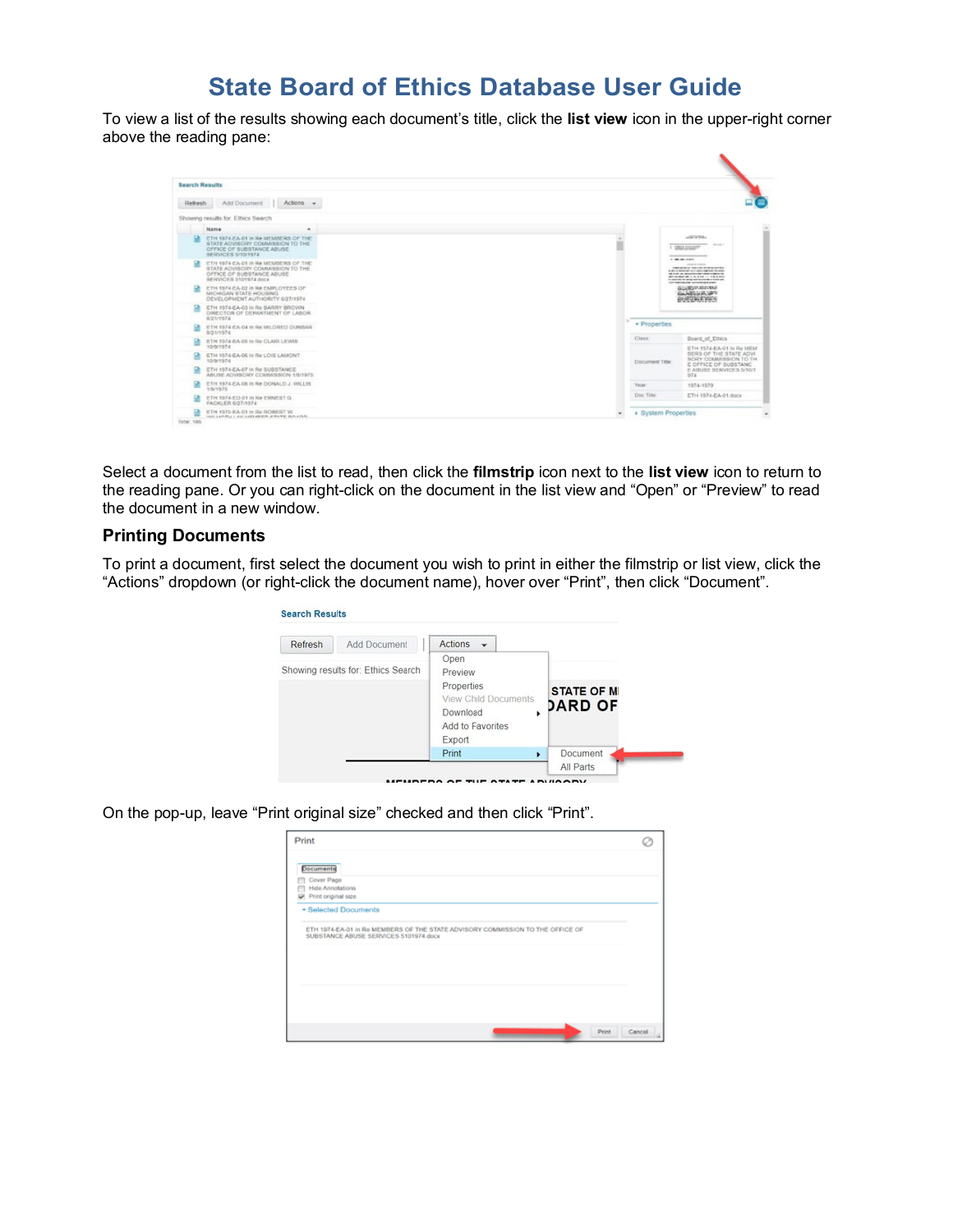To view a list of the results showing each document's title, click the **list view** icon in the upper-right corner above the reading pane:

| <b>Search Results</b> |                                                                                                                                  |                     |                                                                                                                                                                                                                                                                                                          |
|-----------------------|----------------------------------------------------------------------------------------------------------------------------------|---------------------|----------------------------------------------------------------------------------------------------------------------------------------------------------------------------------------------------------------------------------------------------------------------------------------------------------|
| Refresh               | Add Document<br>Actions -                                                                                                        |                     |                                                                                                                                                                                                                                                                                                          |
|                       | Showing results for: Ethics Search                                                                                               |                     |                                                                                                                                                                                                                                                                                                          |
|                       | Name<br>۰                                                                                                                        |                     |                                                                                                                                                                                                                                                                                                          |
|                       | ETH 1974-EA-01 in Re MEMBERS OF THE<br>STATE ADVISORY COMMISSION TO THE<br>OFFICE OF SUBSTANCE ABUSE.<br><b>BERVICES SHOUSE4</b> |                     | additionals<br><b>CONTRACTOR</b><br>1 DRAWING<br>$\frac{1}{2} \left( \frac{1}{2} \right) \left( \frac{1}{2} \right) \left( \frac{1}{2} \right) \left( \frac{1}{2} \right)$                                                                                                                               |
|                       | ETH 1974-EA-01 In Re MEMBERS OF THE<br>STATE ADVISORY COMMISSION TO THE<br>OFFICE OF SUBSTANCE ABUSE<br>SERVICES 5101974 dock    |                     | <b>CONTRACTOR</b><br>and the production<br><b><i>ENGINEER DECISE BERGERING</i></b><br>a der er betandet bur video saleron 14 miller.<br>on their attention are that a same to<br>WE consider the first to the first<br><b>PLANTING OF SPACE EXPLANTING IT SIDE INF</b><br>THE RAPIDLERY SUSPECTIVE CORP. |
| m                     | ETH 1974-EA-02 in Ne EMPLOYEES OF<br>MICHIGAN STATE HOUSING<br>DEVELOPMENT AUTHORITY 6/27/1974                                   |                     | GLUZOV-RESIDE<br><b>GALLAND AND STATE</b><br><b>BRAEQUALE SOCH</b>                                                                                                                                                                                                                                       |
| ٠                     | ETH 1574-EA-03 in Re BARRY BROWN<br>DIRECTOR OF DEPARTMENT OF LABOR.<br>8/21/1974                                                |                     |                                                                                                                                                                                                                                                                                                          |
|                       | ETH 1974 EA 04 In Re MILDRED DUNBAR<br>8/21/1974                                                                                 | · Properties        |                                                                                                                                                                                                                                                                                                          |
|                       | ETH 1974-EA-05 In Re CLAIR LEWIS<br>10/9/1974                                                                                    | Class.              | Doard of Ethics                                                                                                                                                                                                                                                                                          |
| m                     | ETH 1974-EA-06 in Re LOIS LAMONT<br>10/9/1974                                                                                    | Document Title:     | ETH 1974-EA-01 in Re MEM<br>DERS OF THE STATE ADVI.<br>SORY COMMISSION TO TH                                                                                                                                                                                                                             |
| m                     | ETH 1974 EA-07 in Re SUBSTANCE<br>ABUSE ADVISORY COMMISSION 1/8/1975                                                             |                     | E OFFICE OF SUBSTANC<br>E ABUSE SERVICES S/10/1<br>974                                                                                                                                                                                                                                                   |
|                       | ETH 1974-EA-08 In Re DONALD J. WILLIS<br>1/8/1975                                                                                | Year                | 1974-1979                                                                                                                                                                                                                                                                                                |
|                       | ETH 1974-ED-01 in Re ERNEST G.<br>FACKLER 6/27/1974                                                                              | Doc Title           | ETH 1974-EA-01.dock                                                                                                                                                                                                                                                                                      |
| в                     | ETH 1975-EA-01 in Re ROBERT W.                                                                                                   | > System Properties |                                                                                                                                                                                                                                                                                                          |

Select a document from the list to read, then click the **filmstrip** icon next to the **list view** icon to return to the reading pane. Or you can right-click on the document in the list view and "Open" or "Preview" to read the document in a new window.

### **Printing Documents**

To print a document, first select the document you wish to print in either the filmstrip or list view, click the "Actions" dropdown (or right-click the document name), hover over "Print", then click "Document".

| Refresh                            | Add Document | <b>Actions</b><br>$\check{}$                                                                 |                                          |
|------------------------------------|--------------|----------------------------------------------------------------------------------------------|------------------------------------------|
| Showing results for: Ethics Search |              | Open<br>Preview<br>Properties<br><b>View Child Documents</b><br>Download<br>Add to Favorites | <b>STATE OF M</b><br><b>DARD OF</b><br>٠ |
|                                    |              | Export                                                                                       |                                          |

On the pop-up, leave "Print original size" checked and then click "Print".

| Print                                                |                                                                                |  |  |
|------------------------------------------------------|--------------------------------------------------------------------------------|--|--|
| Documents<br>Cover Page                              |                                                                                |  |  |
| <b>Hide Annotations</b><br>Print original size<br>w. |                                                                                |  |  |
| - Selected Documents                                 |                                                                                |  |  |
|                                                      |                                                                                |  |  |
|                                                      | ETH 1974-EA-01 In Re MEMBERS OF THE STATE ADVISORY COMMISSION TO THE OFFICE OF |  |  |
| SUBSTANCE ABUSE SERVICES 5101974.docx                |                                                                                |  |  |
|                                                      |                                                                                |  |  |
|                                                      |                                                                                |  |  |
|                                                      |                                                                                |  |  |
|                                                      |                                                                                |  |  |